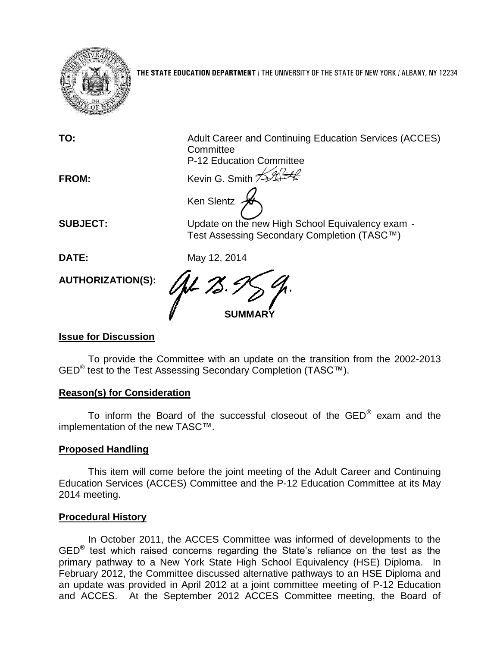

**THE STATE EDUCATION DEPARTMENT** / THE UNIVERSITY OF THE STATE OF NEW YORK / ALBANY, NY 12234

| TO:                      | Adult Career and Continuing Education Services (ACCES)<br>Committee                             |  |  |
|--------------------------|-------------------------------------------------------------------------------------------------|--|--|
|                          | <b>P-12 Education Committee</b>                                                                 |  |  |
| FROM:                    | Kevin G. Smith 7                                                                                |  |  |
|                          | Ken Slentz                                                                                      |  |  |
| <b>SUBJECT:</b>          | Update on the new High School Equivalency exam -<br>Test Assessing Secondary Completion (TASC™) |  |  |
| DATE:                    | May 12, 2014                                                                                    |  |  |
| <b>AUTHORIZATION(S):</b> |                                                                                                 |  |  |
|                          |                                                                                                 |  |  |

### **Issue for Discussion**

To provide the Committee with an update on the transition from the 2002-2013 GED<sup>®</sup> test to the Test Assessing Secondary Completion (TASC™).

### **Reason(s) for Consideration**

To inform the Board of the successful closeout of the GED<sup>®</sup> exam and the implementation of the new TASC™.

### **Proposed Handling**

This item will come before the joint meeting of the Adult Career and Continuing Education Services (ACCES) Committee and the P-12 Education Committee at its May 2014 meeting.

#### **Procedural History**

In October 2011, the ACCES Committee was informed of developments to the GED**®** test which raised concerns regarding the State's reliance on the test as the primary pathway to a New York State High School Equivalency (HSE) Diploma. In February 2012, the Committee discussed alternative pathways to an HSE Diploma and an update was provided in April 2012 at a joint committee meeting of P-12 Education and ACCES. At the September 2012 ACCES Committee meeting, the Board of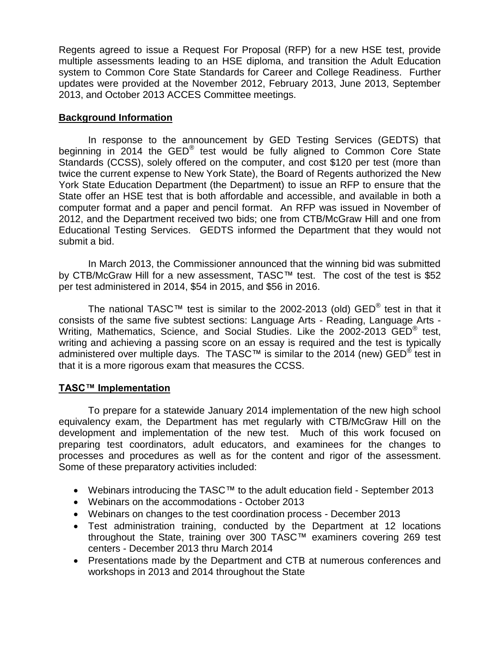Regents agreed to issue a Request For Proposal (RFP) for a new HSE test, provide multiple assessments leading to an HSE diploma, and transition the Adult Education system to Common Core State Standards for Career and College Readiness. Further updates were provided at the November 2012, February 2013, June 2013, September 2013, and October 2013 ACCES Committee meetings.

## **Background Information**

In response to the announcement by GED Testing Services (GEDTS) that beginning in 2014 the GED® test would be fully aligned to Common Core State Standards (CCSS), solely offered on the computer, and cost \$120 per test (more than twice the current expense to New York State), the Board of Regents authorized the New York State Education Department (the Department) to issue an RFP to ensure that the State offer an HSE test that is both affordable and accessible, and available in both a computer format and a paper and pencil format. An RFP was issued in November of 2012, and the Department received two bids; one from CTB/McGraw Hill and one from Educational Testing Services. GEDTS informed the Department that they would not submit a bid.

In March 2013, the Commissioner announced that the winning bid was submitted by CTB/McGraw Hill for a new assessment, TASC™ test. The cost of the test is \$52 per test administered in 2014, \$54 in 2015, and \$56 in 2016.

The national TASC™ test is similar to the 2002-2013 (old) GED® test in that it consists of the same five subtest sections: Language Arts - Reading, Language Arts - Writing, Mathematics, Science, and Social Studies. Like the 2002-2013  $\widetilde{GED}^{\circledast}$  test, writing and achieving a passing score on an essay is required and the test is typically administered over multiple days. The TASC™ is similar to the 2014 (new) GED<sup>®</sup> test in that it is a more rigorous exam that measures the CCSS.

### **TASC™ Implementation**

To prepare for a statewide January 2014 implementation of the new high school equivalency exam, the Department has met regularly with CTB/McGraw Hill on the development and implementation of the new test. Much of this work focused on preparing test coordinators, adult educators, and examinees for the changes to processes and procedures as well as for the content and rigor of the assessment. Some of these preparatory activities included:

- Webinars introducing the TASC™ to the adult education field September 2013
- Webinars on the accommodations October 2013
- Webinars on changes to the test coordination process December 2013
- Test administration training, conducted by the Department at 12 locations throughout the State, training over 300 TASC™ examiners covering 269 test centers - December 2013 thru March 2014
- Presentations made by the Department and CTB at numerous conferences and workshops in 2013 and 2014 throughout the State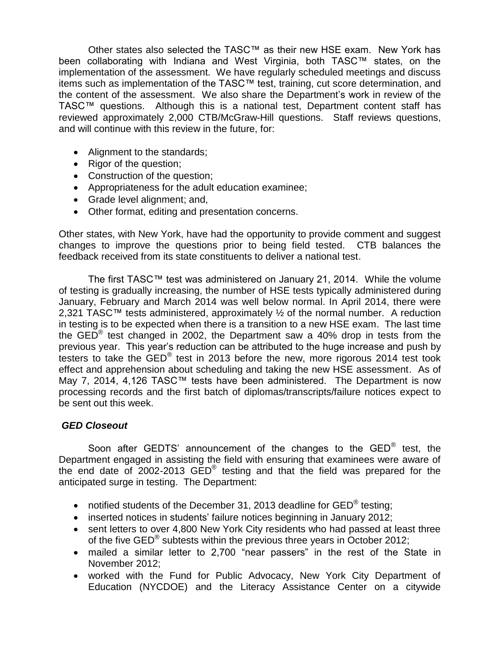Other states also selected the TASC™ as their new HSE exam. New York has been collaborating with Indiana and West Virginia, both TASC™ states, on the implementation of the assessment. We have regularly scheduled meetings and discuss items such as implementation of the TASC™ test, training, cut score determination, and the content of the assessment. We also share the Department's work in review of the TASC™ questions. Although this is a national test, Department content staff has reviewed approximately 2,000 CTB/McGraw-Hill questions. Staff reviews questions, and will continue with this review in the future, for:

- Alignment to the standards;
- Rigor of the question;
- Construction of the question;
- Appropriateness for the adult education examinee;
- Grade level alignment; and,
- Other format, editing and presentation concerns.

Other states, with New York, have had the opportunity to provide comment and suggest changes to improve the questions prior to being field tested. CTB balances the feedback received from its state constituents to deliver a national test.

The first TASC™ test was administered on January 21, 2014. While the volume of testing is gradually increasing, the number of HSE tests typically administered during January, February and March 2014 was well below normal. In April 2014, there were 2,321 TASC™ tests administered, approximately  $\frac{1}{2}$  of the normal number. A reduction in testing is to be expected when there is a transition to a new HSE exam. The last time the GED<sup>®</sup> test changed in 2002, the Department saw a 40% drop in tests from the previous year. This year's reduction can be attributed to the huge increase and push by testers to take the  $\widehat{\mathsf{GED}}^{\circledast}$  test in 2013 before the new, more rigorous 2014 test took effect and apprehension about scheduling and taking the new HSE assessment. As of May 7, 2014, 4,126 TASC™ tests have been administered. The Department is now processing records and the first batch of diplomas/transcripts/failure notices expect to be sent out this week.

### *GED Closeout*

Soon after GEDTS' announcement of the changes to the  $GED^@$  test, the Department engaged in assisting the field with ensuring that examinees were aware of the end date of 2002-2013  $GED^{\circledast}$  testing and that the field was prepared for the anticipated surge in testing. The Department:

- notified students of the December 31, 2013 deadline for  $GED^{\circledast}$  testing;
- inserted notices in students' failure notices beginning in January 2012;
- sent letters to over 4,800 New York City residents who had passed at least three of the five GED<sup>®</sup> subtests within the previous three years in October 2012;
- mailed a similar letter to 2,700 "near passers" in the rest of the State in November 2012;
- worked with the Fund for Public Advocacy, New York City Department of Education (NYCDOE) and the Literacy Assistance Center on a citywide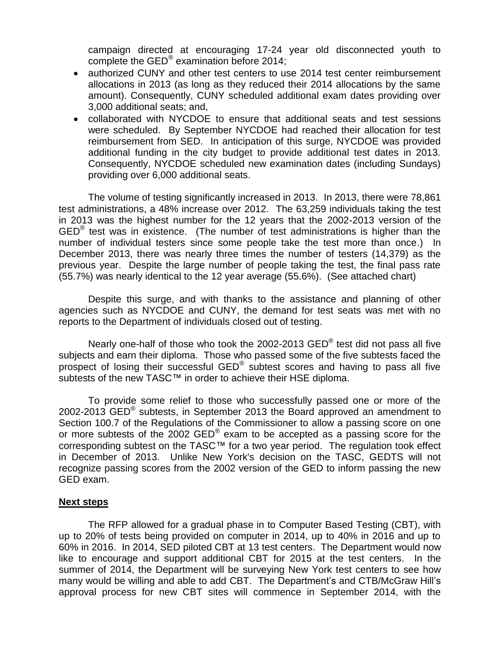campaign directed at encouraging 17-24 year old disconnected youth to complete the GED® examination before 2014;

- authorized CUNY and other test centers to use 2014 test center reimbursement allocations in 2013 (as long as they reduced their 2014 allocations by the same amount). Consequently, CUNY scheduled additional exam dates providing over 3,000 additional seats; and,
- collaborated with NYCDOE to ensure that additional seats and test sessions were scheduled. By September NYCDOE had reached their allocation for test reimbursement from SED. In anticipation of this surge, NYCDOE was provided additional funding in the city budget to provide additional test dates in 2013. Consequently, NYCDOE scheduled new examination dates (including Sundays) providing over 6,000 additional seats.

The volume of testing significantly increased in 2013. In 2013, there were 78,861 test administrations, a 48% increase over 2012. The 63,259 individuals taking the test in 2013 was the highest number for the 12 years that the 2002-2013 version of the  $GED<sup>®</sup>$  test was in existence. (The number of test administrations is higher than the number of individual testers since some people take the test more than once.) In December 2013, there was nearly three times the number of testers (14,379) as the previous year. Despite the large number of people taking the test, the final pass rate (55.7%) was nearly identical to the 12 year average (55.6%). (See attached chart)

Despite this surge, and with thanks to the assistance and planning of other agencies such as NYCDOE and CUNY, the demand for test seats was met with no reports to the Department of individuals closed out of testing.

Nearly one-half of those who took the 2002-2013 GED $^{\circledast}$  test did not pass all five subjects and earn their diploma. Those who passed some of the five subtests faced the prospect of losing their successful  $\mathsf{GED}^\circledast$  subtest scores and having to pass all five subtests of the new TASC™ in order to achieve their HSE diploma.

To provide some relief to those who successfully passed one or more of the 2002-2013 GED® subtests, in September 2013 the Board approved an amendment to Section 100.7 of the Regulations of the Commissioner to allow a passing score on one or more subtests of the 2002 GED® exam to be accepted as a passing score for the corresponding subtest on the TASC™ for a two year period. The regulation took effect in December of 2013. Unlike New York's decision on the TASC, GEDTS will not recognize passing scores from the 2002 version of the GED to inform passing the new GED exam.

### **Next steps**

The RFP allowed for a gradual phase in to Computer Based Testing (CBT), with up to 20% of tests being provided on computer in 2014, up to 40% in 2016 and up to 60% in 2016. In 2014, SED piloted CBT at 13 test centers. The Department would now like to encourage and support additional CBT for 2015 at the test centers. In the summer of 2014, the Department will be surveying New York test centers to see how many would be willing and able to add CBT. The Department's and CTB/McGraw Hill's approval process for new CBT sites will commence in September 2014, with the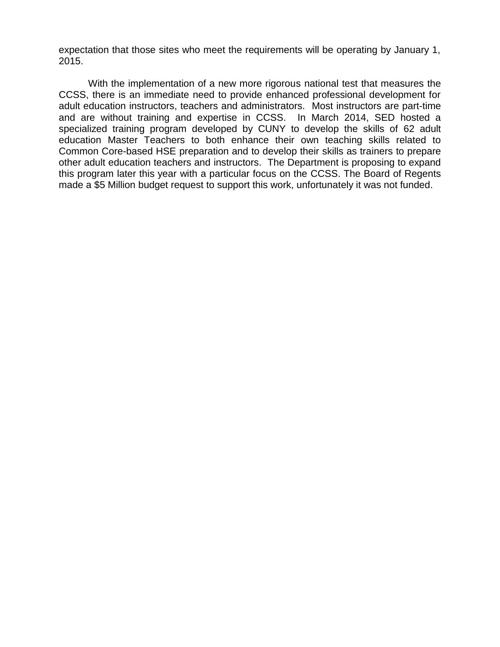expectation that those sites who meet the requirements will be operating by January 1, 2015.

With the implementation of a new more rigorous national test that measures the CCSS, there is an immediate need to provide enhanced professional development for adult education instructors, teachers and administrators. Most instructors are part-time and are without training and expertise in CCSS. In March 2014, SED hosted a specialized training program developed by CUNY to develop the skills of 62 adult education Master Teachers to both enhance their own teaching skills related to Common Core-based HSE preparation and to develop their skills as trainers to prepare other adult education teachers and instructors. The Department is proposing to expand this program later this year with a particular focus on the CCSS. The Board of Regents made a \$5 Million budget request to support this work, unfortunately it was not funded.